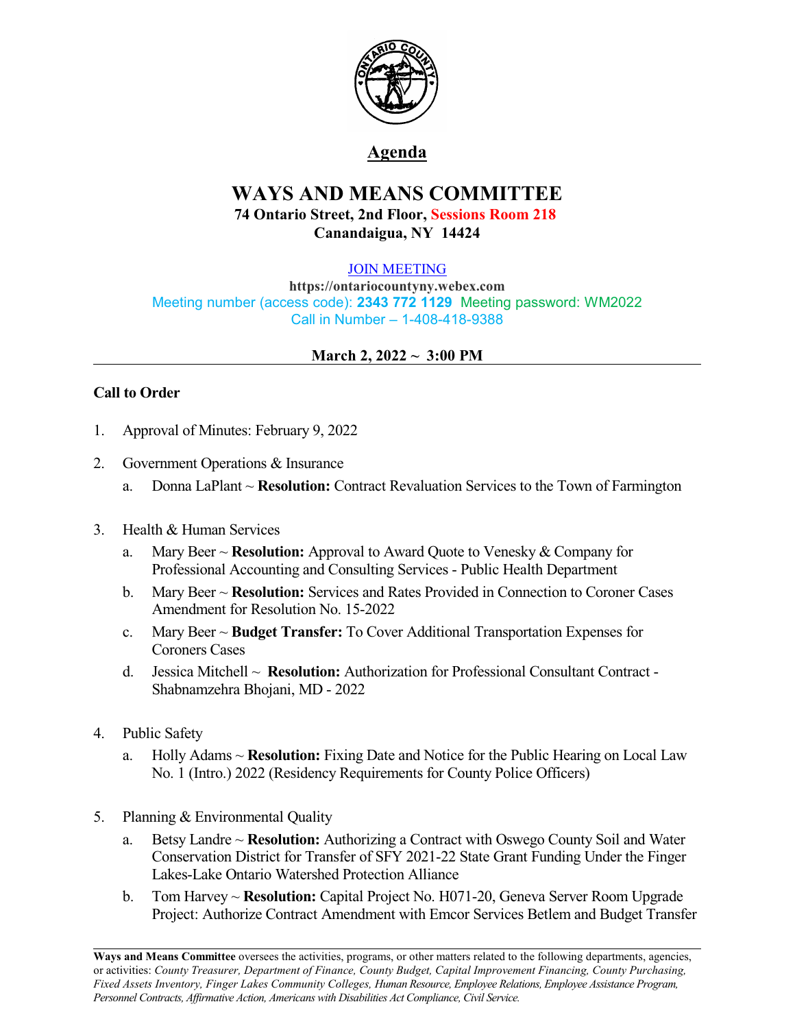

## **Agenda**

# **WAYS AND MEANS COMMITTEE 74 Ontario Street, 2nd Floor, Sessions Room 218 Canandaigua, NY 14424**

### [JOIN MEETING](https://ontariocountyny.webex.com/)

**https://ontariocountyny.webex.com** Meeting number (access code): **2343 772 1129** Meeting password: WM2022 Call in Number – 1-408-418-9388

## **March 2, 2022 ~ 3:00 PM**

## **Call to Order**

- 1. Approval of Minutes: February 9, 2022
- 2. Government Operations & Insurance
	- a. Donna LaPlant ~ **Resolution:** Contract Revaluation Services to the Town of Farmington
- 3. Health & Human Services
	- a. Mary Beer ~ **Resolution:** Approval to Award Quote to Venesky & Company for Professional Accounting and Consulting Services - Public Health Department
	- b. Mary Beer ~ **Resolution:** Services and Rates Provided in Connection to Coroner Cases Amendment for Resolution No. 15-2022
	- c. Mary Beer ~ **Budget Transfer:** To Cover Additional Transportation Expenses for Coroners Cases
	- d. Jessica Mitchell ~ **Resolution:** Authorization for Professional Consultant Contract Shabnamzehra Bhojani, MD - 2022
- 4. Public Safety
	- a. Holly Adams ~ **Resolution:** Fixing Date and Notice for the Public Hearing on Local Law No. 1 (Intro.) 2022 (Residency Requirements for County Police Officers)
- 5. Planning & Environmental Quality
	- a. Betsy Landre ~ **Resolution:** Authorizing a Contract with Oswego County Soil and Water Conservation District for Transfer of SFY 2021-22 State Grant Funding Under the Finger Lakes-Lake Ontario Watershed Protection Alliance
	- b. Tom Harvey ~ **Resolution:** Capital Project No. H071-20, Geneva Server Room Upgrade Project: Authorize Contract Amendment with Emcor Services Betlem and Budget Transfer

**Ways and Means Committee** oversees the activities, programs, or other matters related to the following departments, agencies, or activities: *County Treasurer, Department of Finance, County Budget, Capital Improvement Financing, County Purchasing, Fixed Assets Inventory, Finger Lakes Community Colleges, Human Resource, Employee Relations, Employee Assistance Program, Personnel Contracts, Af irmative Action, Americans with Disabilities Act Compliance, Civil Service.*